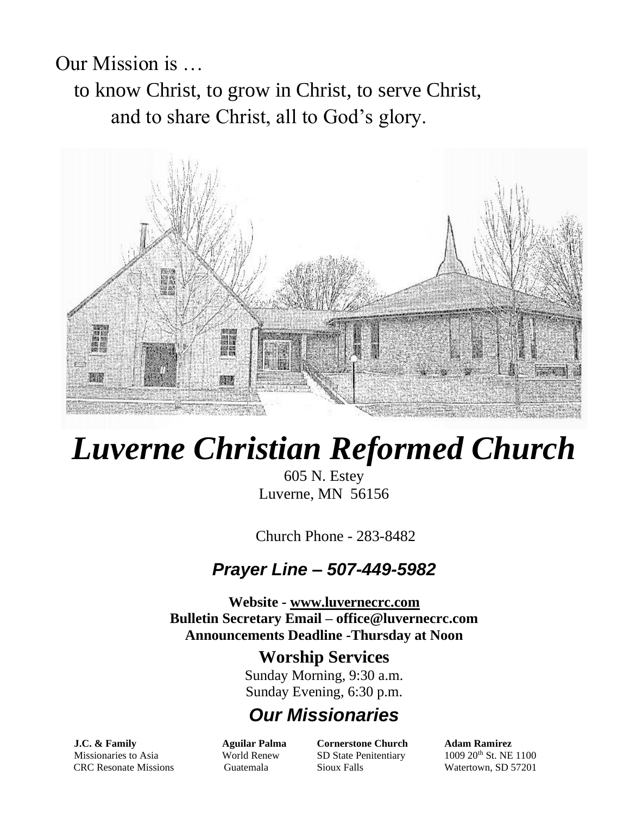Our Mission is … to know Christ, to grow in Christ, to serve Christ, and to share Christ, all to God's glory.



# *Luverne Christian Reformed Church*

605 N. Estey Luverne, MN 56156

Church Phone - 283-8482

#### *Prayer Line – 507-449-5982*

**Website - [www.luvernecrc.com](http://www.luvernecrc.com/) Bulletin Secretary Email – office@luvernecrc.com Announcements Deadline -Thursday at Noon**

#### **Worship Services**

Sunday Morning, 9:30 a.m. Sunday Evening, 6:30 p.m.

#### *Our Missionaries*

Missionaries to Asia **World Renew** SD State Penitentiary 1009 20<sup>th</sup> St. NE 1100 CRC Resonate Missions Guatemala Sioux Falls Watertown, SD 57201

**J.C. & Family Aguilar Palma Cornerstone Church Adam Ramirez**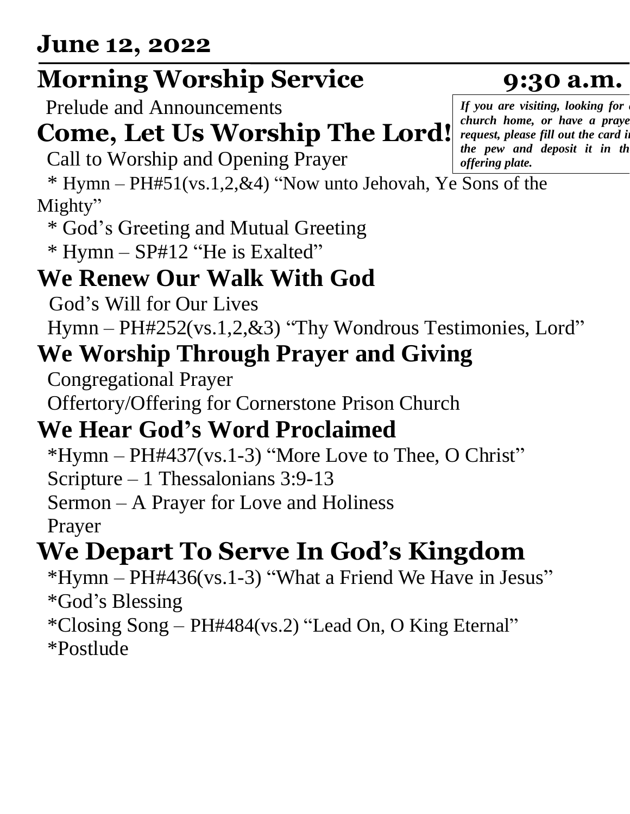### **Morning Worship Service 9:30 a.m.**

Prelude and Announcements

#### **Come, Let Us Worship The Lord!**

Call to Worship and Opening Prayer

 \* Hymn – PH#51(vs.1,2,&4) "Now unto Jehovah, Ye Sons of the Mighty"

\* God's Greeting and Mutual Greeting

\* Hymn – SP#12 "He is Exalted"

#### **We Renew Our Walk With God**

God's Will for Our Lives

Hymn – PH#252(vs.1,2,&3) "Thy Wondrous Testimonies, Lord"

#### **We Worship Through Prayer and Giving**

Congregational Prayer

Offertory/Offering for Cornerstone Prison Church

#### **We Hear God's Word Proclaimed**

 $*Hymn - PH#437(vs.1-3)$  "More Love to Thee, O Christ"

Scripture – 1 Thessalonians 3:9-13

Sermon – A Prayer for Love and Holiness

Prayer

### **We Depart To Serve In God's Kingdom**

 \*Hymn – PH#436(vs.1-3) "What a Friend We Have in Jesus" \*God's Blessing

\*Closing Song – PH#484(vs.2) "Lead On, O King Eternal" \*Postlude

*If you are visiting, looking for a church home, or have a praye request, please fill out the card in the pew and deposit it in the offering plate.*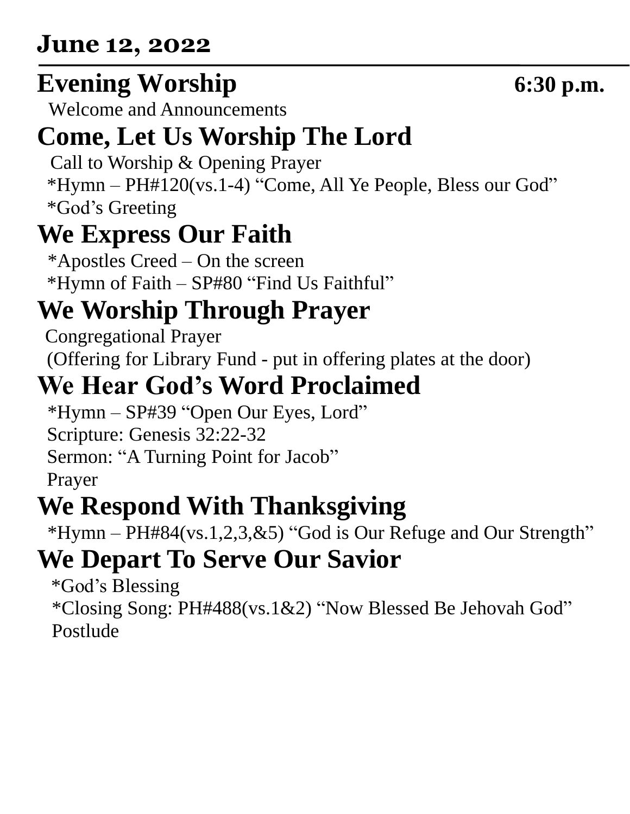#### **June 12, 2022**

### **Evening Worship 6:30 p.m.**

Welcome and Announcements

# **Come, Let Us Worship The Lord**

Call to Worship & Opening Prayer

 \*Hymn – PH#120(vs.1-4) "Come, All Ye People, Bless our God" \*God's Greeting

## **We Express Our Faith**

\*Apostles Creed – On the screen \*Hymn of Faith – SP#80 "Find Us Faithful"

## **We Worship Through Prayer**

 Congregational Prayer (Offering for Library Fund - put in offering plates at the door)

#### **We Hear God's Word Proclaimed**

\*Hymn – SP#39 "Open Our Eyes, Lord" Scripture: Genesis 32:22-32 Sermon: "A Turning Point for Jacob" Prayer

# **We Respond With Thanksgiving**

\*Hymn – PH#84(vs.1,2,3,&5) "God is Our Refuge and Our Strength"

## **We Depart To Serve Our Savior**

 \*God's Blessing \*Closing Song: PH#488(vs.1&2) "Now Blessed Be Jehovah God" Postlude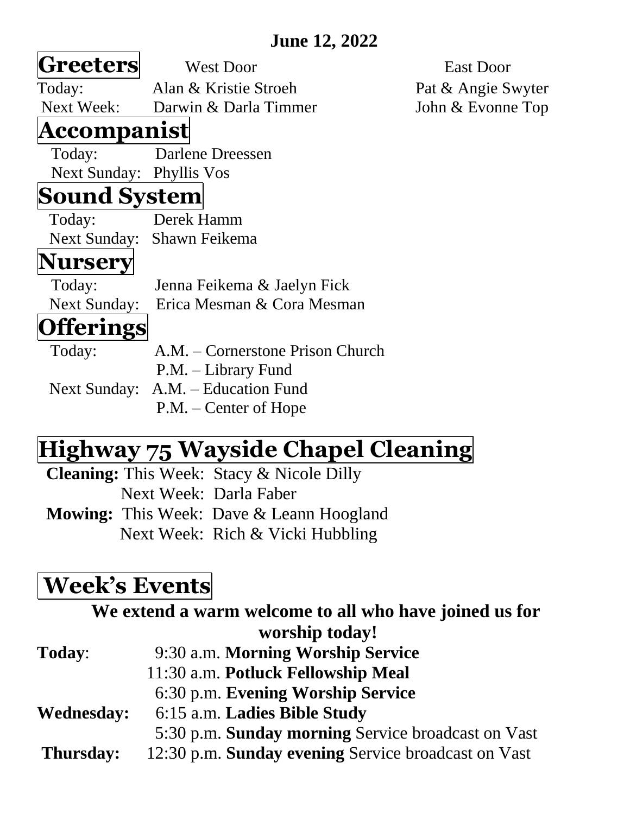#### **June 12, 2022**

| Greeters                 | <b>West Door</b>                   | East Door          |
|--------------------------|------------------------------------|--------------------|
| Today:                   | Alan & Kristie Stroeh              | Pat & Angie Swyter |
|                          | Next Week: Darwin & Darla Timmer   | John & Evonne Top  |
| Accompanist              |                                    |                    |
| Today:                   | Darlene Dreessen                   |                    |
| Next Sunday: Phyllis Vos |                                    |                    |
| <b>Sound System</b>      |                                    |                    |
| Today:                   | Derek Hamm                         |                    |
|                          | Next Sunday: Shawn Feikema         |                    |
| Nursery                  |                                    |                    |
| Today:                   | Jenna Feikema & Jaelyn Fick        |                    |
| <b>Next Sunday:</b>      | Erica Mesman & Cora Mesman         |                    |
| <b>fferings</b>          |                                    |                    |
| Today:                   | A.M. – Cornerstone Prison Church   |                    |
|                          | P.M. – Library Fund                |                    |
|                          | Next Sunday: A.M. - Education Fund |                    |
|                          | $P.M. - Center of Hope$            |                    |

#### **Highway 75 Wayside Chapel Cleaning**

**Cleaning:** This Week: Stacy & Nicole Dilly Next Week: Darla Faber **Mowing:** This Week: Dave & Leann Hoogland Next Week: Rich & Vicki Hubbling

#### **Week's Events**

|                   | We extend a warm welcome to all who have joined us for |
|-------------------|--------------------------------------------------------|
|                   | worship today!                                         |
| <b>Today:</b>     | 9:30 a.m. Morning Worship Service                      |
|                   | 11:30 a.m. Potluck Fellowship Meal                     |
|                   | 6:30 p.m. Evening Worship Service                      |
| <b>Wednesday:</b> | 6:15 a.m. Ladies Bible Study                           |
|                   | 5:30 p.m. Sunday morning Service broadcast on Vast     |
| Thursday:         | 12:30 p.m. Sunday evening Service broadcast on Vast    |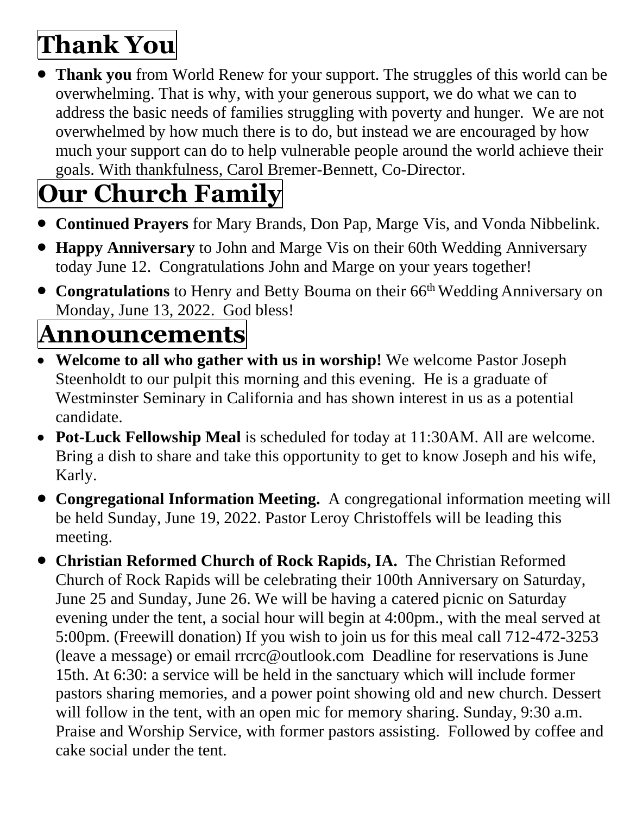# **Thank You**

• **Thank you** from World Renew for your support. The struggles of this world can be overwhelming. That is why, with your generous support, we do what we can to address the basic needs of families struggling with poverty and hunger. We are not overwhelmed by how much there is to do, but instead we are encouraged by how much your support can do to help vulnerable people around the world achieve their goals. With thankfulness, Carol Bremer-Bennett, Co-Director.

# **Our Church Family**

- **Continued Prayers** for Mary Brands, Don Pap, Marge Vis, and Vonda Nibbelink.
- **Happy Anniversary** to John and Marge Vis on their 60th Wedding Anniversary today June 12. Congratulations John and Marge on your years together!
- **Congratulations** to Henry and Betty Bouma on their 66<sup>th</sup> Wedding Anniversary on Monday, June 13, 2022. God bless!

# **Announcements**

- **Welcome to all who gather with us in worship!** We welcome Pastor Joseph Steenholdt to our pulpit this morning and this evening. He is a graduate of Westminster Seminary in California and has shown interest in us as a potential candidate.
- **Pot-Luck Fellowship Meal** is scheduled for today at 11:30AM. All are welcome. Bring a dish to share and take this opportunity to get to know Joseph and his wife, Karly.
- **Congregational Information Meeting.** A congregational information meeting will be held Sunday, June 19, 2022. Pastor Leroy Christoffels will be leading this meeting.
- **Christian Reformed Church of Rock Rapids, IA.** The Christian Reformed Church of Rock Rapids will be celebrating their 100th Anniversary on Saturday, June 25 and Sunday, June 26. We will be having a catered picnic on Saturday evening under the tent, a social hour will begin at 4:00pm., with the meal served at 5:00pm. (Freewill donation) If you wish to join us for this meal call 712-472-3253 (leave a message) or email rrcrc@outlook.com Deadline for reservations is June 15th. At 6:30: a service will be held in the sanctuary which will include former pastors sharing memories, and a power point showing old and new church. Dessert will follow in the tent, with an open mic for memory sharing. Sunday, 9:30 a.m. Praise and Worship Service, with former pastors assisting. Followed by coffee and cake social under the tent.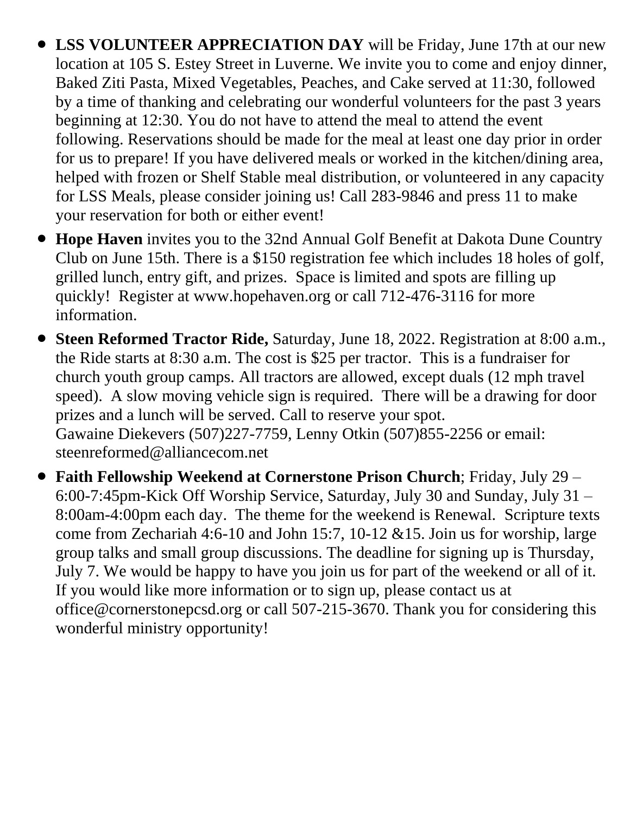- **LSS VOLUNTEER APPRECIATION DAY** will be Friday, June 17th at our new location at 105 S. Estey Street in Luverne. We invite you to come and enjoy dinner, Baked Ziti Pasta, Mixed Vegetables, Peaches, and Cake served at 11:30, followed by a time of thanking and celebrating our wonderful volunteers for the past 3 years beginning at 12:30. You do not have to attend the meal to attend the event following. Reservations should be made for the meal at least one day prior in order for us to prepare! If you have delivered meals or worked in the kitchen/dining area, helped with frozen or Shelf Stable meal distribution, or volunteered in any capacity for LSS Meals, please consider joining us! Call 283-9846 and press 11 to make your reservation for both or either event!
- **Hope Haven** invites you to the 32nd Annual Golf Benefit at Dakota Dune Country Club on June 15th. There is a \$150 registration fee which includes 18 holes of golf, grilled lunch, entry gift, and prizes. Space is limited and spots are filling up quickly! Register at www.hopehaven.org or call 712-476-3116 for more information.
- **Steen Reformed Tractor Ride,** Saturday, June 18, 2022. Registration at 8:00 a.m., the Ride starts at 8:30 a.m. The cost is \$25 per tractor. This is a fundraiser for church youth group camps. All tractors are allowed, except duals (12 mph travel speed). A slow moving vehicle sign is required. There will be a drawing for door prizes and a lunch will be served. Call to reserve your spot. Gawaine Diekevers (507)227-7759, Lenny Otkin (507)855-2256 or email: steenreformed@alliancecom.net
- **Faith Fellowship Weekend at Cornerstone Prison Church**; Friday, July 29 6:00-7:45pm-Kick Off Worship Service, Saturday, July 30 and Sunday, July 31 – 8:00am-4:00pm each day. The theme for the weekend is Renewal. Scripture texts come from Zechariah 4:6-10 and John 15:7, 10-12 &15. Join us for worship, large group talks and small group discussions. The deadline for signing up is Thursday, July 7. We would be happy to have you join us for part of the weekend or all of it. If you would like more information or to sign up, please contact us at office@cornerstonepcsd.org or call 507-215-3670. Thank you for considering this wonderful ministry opportunity!